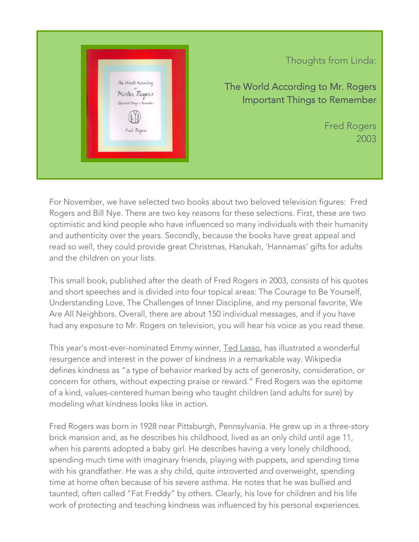

## Thoughts from Linda:

The World According to Mr. Rogers Important Things to Remember

> Fred Rogers 2003

For November, we have selected two books about two beloved television figures: Fred Rogers and Bill Nye. There are two key reasons for these selections. First, these are two optimistic and kind people who have influenced so many individuals with their humanity and authenticity over the years. Secondly, because the books have great appeal and read so well, they could provide great Christmas, Hanukah, 'Hannamas' gifts for adults and the children on your lists.

This small book, published after the death of Fred Rogers in 2003, consists of his quotes and short speeches and is divided into four topical areas: The Courage to Be Yourself, Understanding Love, The Challenges of Inner Discipline, and my personal favorite, We Are All Neighbors. Overall, there are about 150 individual messages, and if you have had any exposure to Mr. Rogers on television, you will hear his voice as you read these.

This year's most-ever-nominated Emmy winner, Ted Lasso, has illustrated a wonderful resurgence and interest in the power of kindness in a remarkable way. Wikipedia defines kindness as "a type of behavior marked by acts of generosity, consideration, or concern for others, without expecting praise or reward." Fred Rogers was the epitome of a kind, values-centered human being who taught children (and adults for sure) by modeling what kindness looks like in action.

Fred Rogers was born in 1928 near Pittsburgh, Pennsylvania. He grew up in a three-story brick mansion and, as he describes his childhood, lived as an only child until age 11, when his parents adopted a baby girl. He describes having a very lonely childhood, spending much time with imaginary friends, playing with puppets, and spending time with his grandfather. He was a shy child, quite introverted and overweight, spending time at home often because of his severe asthma. He notes that he was bullied and taunted, often called "Fat Freddy" by others. Clearly, his love for children and his life work of protecting and teaching kindness was influenced by his personal experiences.